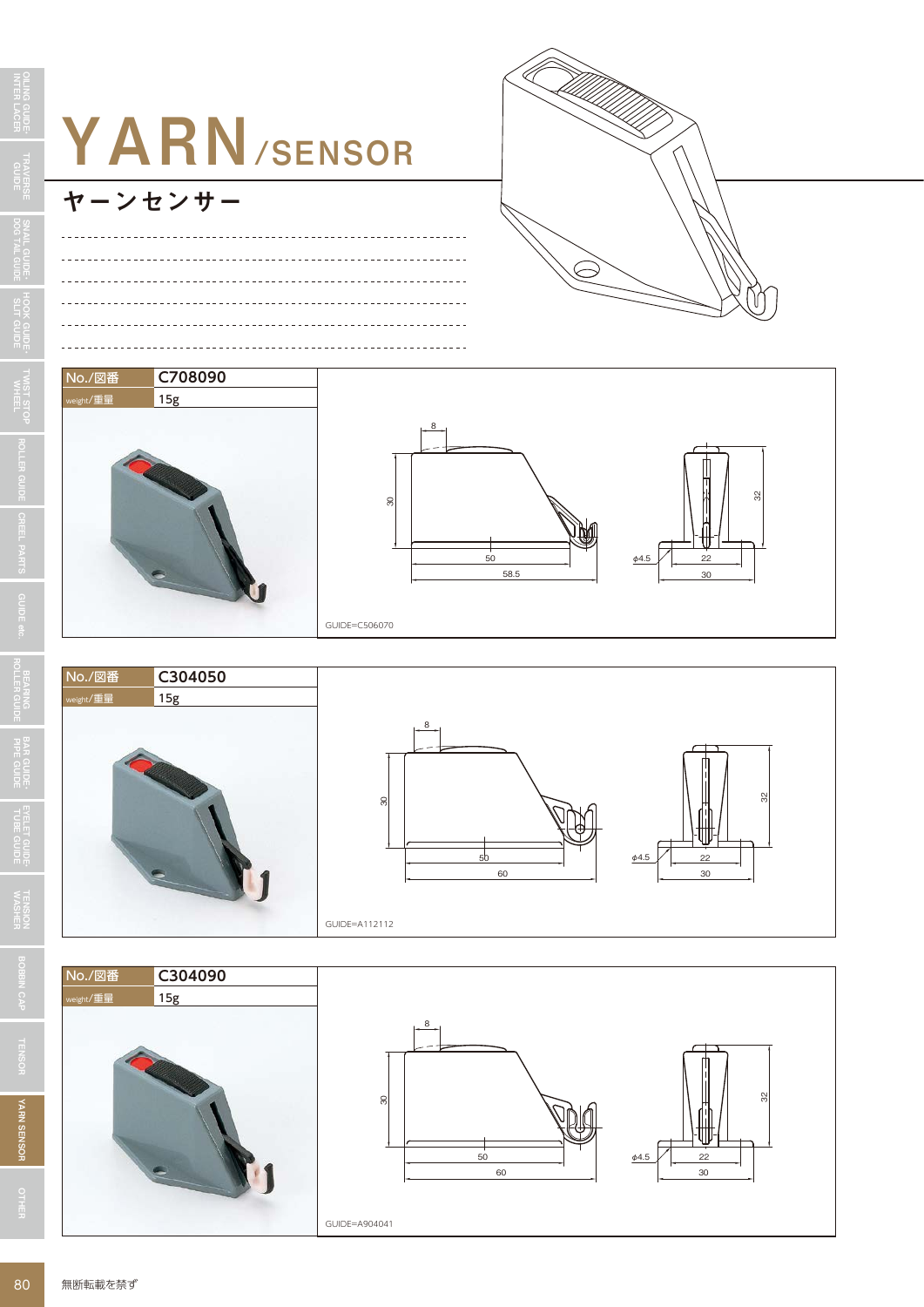









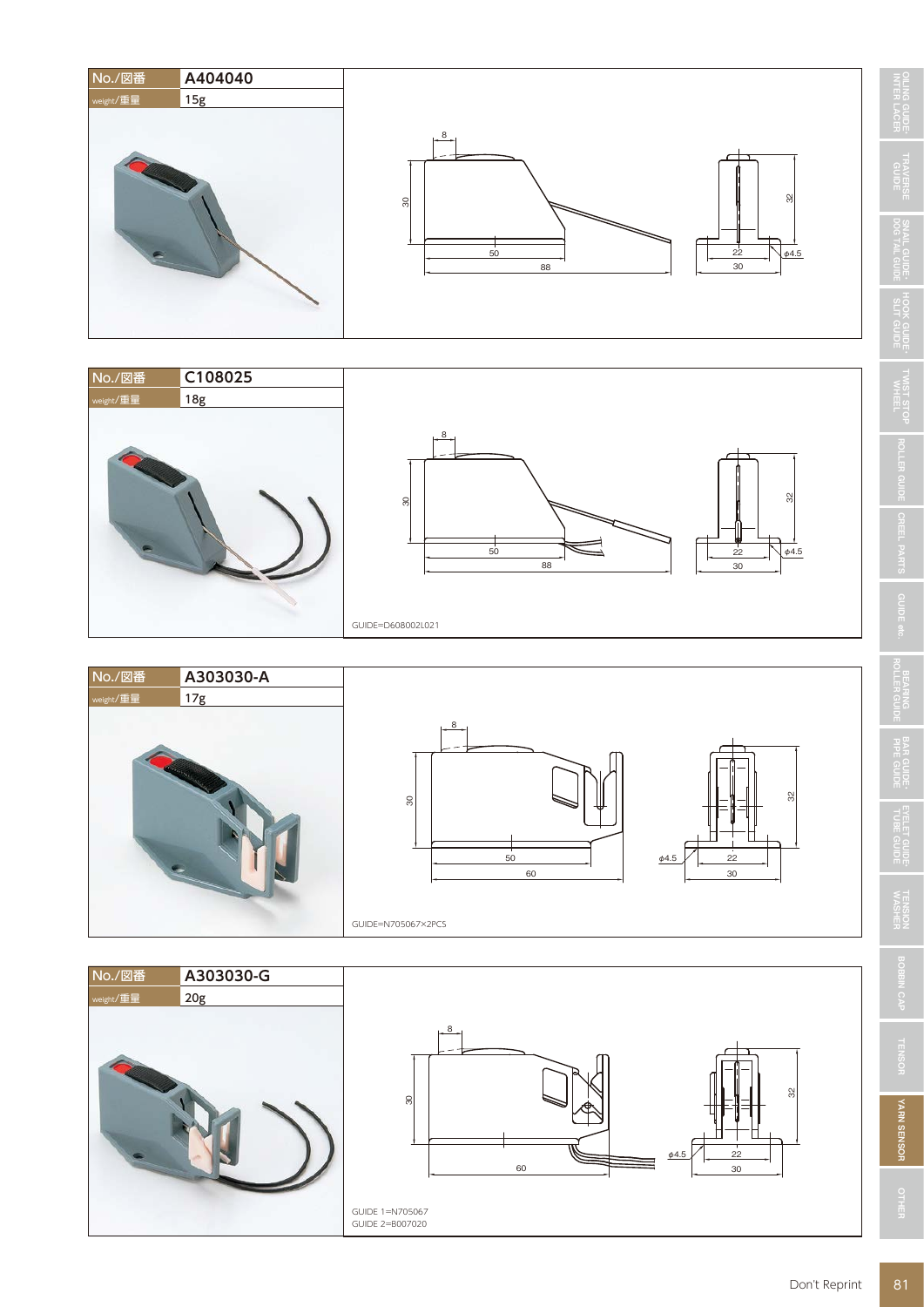











**TRAVERSE**<br>GUIDE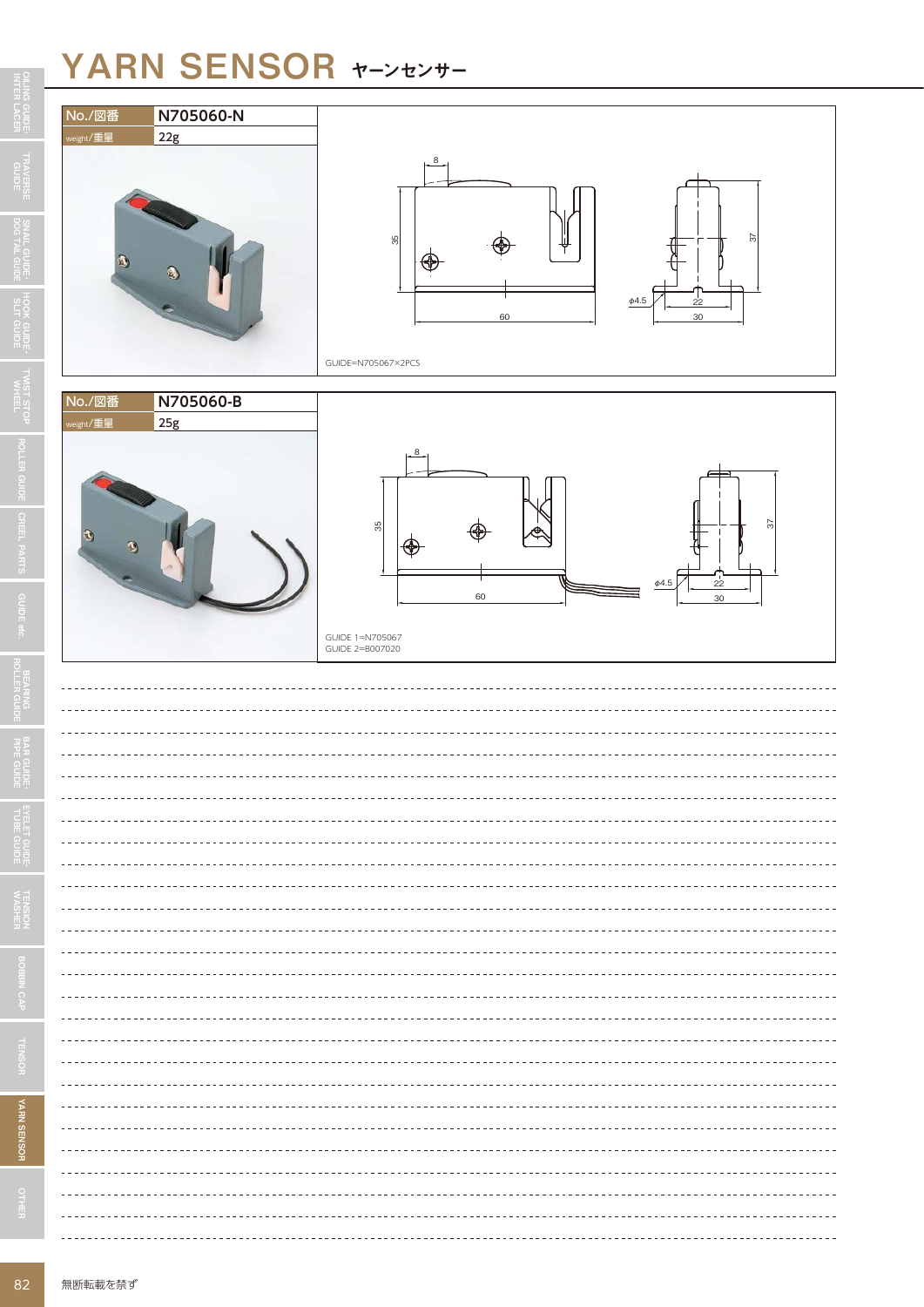## YARN SENSOR ヤーンセンサー



| No./図番                                              | N705060-N        |                                                                                                      |
|-----------------------------------------------------|------------------|------------------------------------------------------------------------------------------------------|
| weight/重量<br>$\bullet$                              | 22g              | $8-$<br>57<br>$\frac{55}{25}$<br>$\phi4.5$<br>22<br>60<br>30<br>GUIDE=N705067×2PCS                   |
| No./図番<br>weight/重量<br>$\mathbf{u}$<br>$\mathbf{R}$ | N705060-B<br>25g | 8<br>8 <sup>5</sup><br>51<br>⊛<br>$\phi$ 4.5<br>22<br>60<br>30<br>GUIDE 1=N705067<br>GUIDE 2=B007020 |
|                                                     |                  |                                                                                                      |
|                                                     |                  |                                                                                                      |
|                                                     |                  |                                                                                                      |
| $- -$                                               |                  |                                                                                                      |
|                                                     |                  |                                                                                                      |